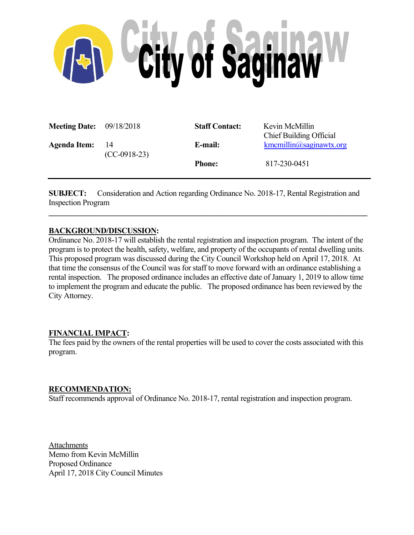

| <b>Meeting Date:</b> 09/18/2018 |                       | <b>Staff Contact:</b> | Kevin McMillin<br><b>Chief Building Official</b> |
|---------------------------------|-----------------------|-----------------------|--------------------------------------------------|
| <b>Agenda Item:</b>             | -14<br>$(CC-0918-23)$ | E-mail:               | $k$ mcmillin $\omega$ saginawtx.org              |
|                                 |                       | <b>Phone:</b>         | 817-230-0451                                     |

**SUBJECT:** Consideration and Action regarding Ordinance No. 2018-17, Rental Registration and Inspection Program  $\mathcal{L}_\mathcal{L} = \{ \mathcal{L}_\mathcal{L} = \{ \mathcal{L}_\mathcal{L} = \{ \mathcal{L}_\mathcal{L} = \{ \mathcal{L}_\mathcal{L} = \{ \mathcal{L}_\mathcal{L} = \{ \mathcal{L}_\mathcal{L} = \{ \mathcal{L}_\mathcal{L} = \{ \mathcal{L}_\mathcal{L} = \{ \mathcal{L}_\mathcal{L} = \{ \mathcal{L}_\mathcal{L} = \{ \mathcal{L}_\mathcal{L} = \{ \mathcal{L}_\mathcal{L} = \{ \mathcal{L}_\mathcal{L} = \{ \mathcal{L}_\mathcal{$ 

### **BACKGROUND/DISCUSSION:**

Ordinance No. 2018-17 will establish the rental registration and inspection program. The intent of the program is to protect the health, safety, welfare, and property of the occupants of rental dwelling units. This proposed program was discussed during the City Council Workshop held on April 17, 2018. At that time the consensus of the Council was for staff to move forward with an ordinance establishing a rental inspection. The proposed ordinance includes an effective date of January 1, 2019 to allow time to implement the program and educate the public. The proposed ordinance has been reviewed by the City Attorney.

### **FINANCIAL IMPACT:**

The fees paid by the owners of the rental properties will be used to cover the costs associated with this program.

### **RECOMMENDATION:**

Staff recommends approval of Ordinance No. 2018-17, rental registration and inspection program.

Attachments Memo from Kevin McMillin Proposed Ordinance April 17, 2018 City Council Minutes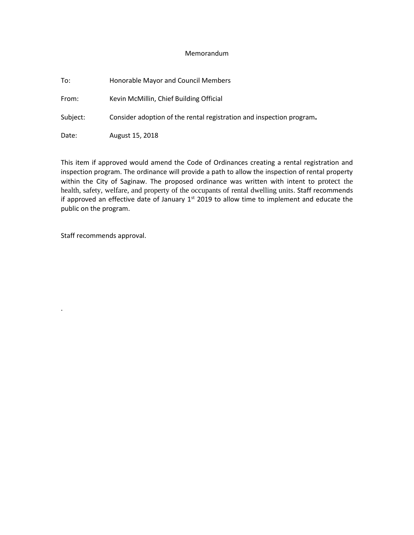#### Memorandum

| To:      | Honorable Mayor and Council Members                                  |  |  |
|----------|----------------------------------------------------------------------|--|--|
| From:    | Kevin McMillin, Chief Building Official                              |  |  |
| Subject: | Consider adoption of the rental registration and inspection program. |  |  |
| Date:    | August 15, 2018                                                      |  |  |

This item if approved would amend the Code of Ordinances creating a rental registration and inspection program. The ordinance will provide a path to allow the inspection of rental property within the City of Saginaw. The proposed ordinance was written with intent to protect the health, safety, welfare, and property of the occupants of rental dwelling units. Staff recommends if approved an effective date of January  $1<sup>st</sup>$  2019 to allow time to implement and educate the public on the program.

Staff recommends approval.

.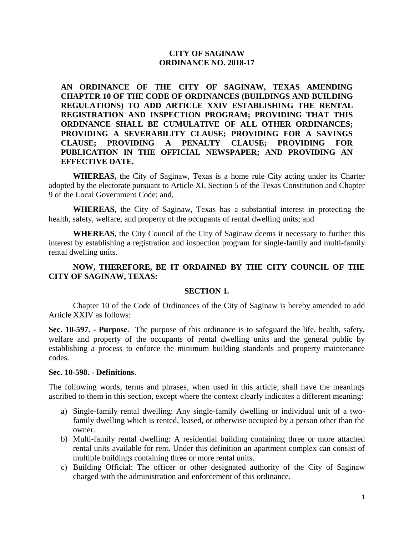## **CITY OF SAGINAW ORDINANCE NO. 2018-17**

**AN ORDINANCE OF THE CITY OF SAGINAW, TEXAS AMENDING CHAPTER 10 OF THE CODE OF ORDINANCES (BUILDINGS AND BUILDING REGULATIONS) TO ADD ARTICLE XXIV ESTABLISHING THE RENTAL REGISTRATION AND INSPECTION PROGRAM; PROVIDING THAT THIS ORDINANCE SHALL BE CUMULATIVE OF ALL OTHER ORDINANCES; PROVIDING A SEVERABILITY CLAUSE; PROVIDING FOR A SAVINGS CLAUSE; PROVIDING A PENALTY CLAUSE; PROVIDING FOR PUBLICATION IN THE OFFICIAL NEWSPAPER; AND PROVIDING AN EFFECTIVE DATE.**

**WHEREAS,** the City of Saginaw, Texas is a home rule City acting under its Charter adopted by the electorate pursuant to Article XI, Section 5 of the Texas Constitution and Chapter 9 of the Local Government Code; and,

**WHEREAS**, the City of Saginaw, Texas has a substantial interest in protecting the health, safety, welfare, and property of the occupants of rental dwelling units; and

**WHEREAS**, the City Council of the City of Saginaw deems it necessary to further this interest by establishing a registration and inspection program for single-family and multi-family rental dwelling units.

# **NOW, THEREFORE, BE IT ORDAINED BY THE CITY COUNCIL OF THE CITY OF SAGINAW, TEXAS:**

### **SECTION 1.**

Chapter 10 of the Code of Ordinances of the City of Saginaw is hereby amended to add Article XXIV as follows:

**Sec. 10-597. - Purpose**. The purpose of this ordinance is to safeguard the life, health, safety, welfare and property of the occupants of rental dwelling units and the general public by establishing a process to enforce the minimum building standards and property maintenance codes.

#### **Sec. 10-598. - Definitions**.

The following words, terms and phrases, when used in this article, shall have the meanings ascribed to them in this section, except where the context clearly indicates a different meaning:

- a) Single-family rental dwelling: Any single-family dwelling or individual unit of a twofamily dwelling which is rented, leased, or otherwise occupied by a person other than the owner.
- b) Multi-family rental dwelling: A residential building containing three or more attached rental units available for rent. Under this definition an apartment complex can consist of multiple buildings containing three or more rental units.
- c) Building Official: The officer or other designated authority of the City of Saginaw charged with the administration and enforcement of this ordinance.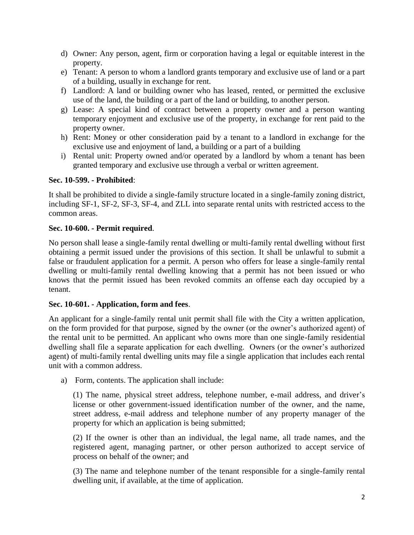- d) Owner: Any person, agent, firm or corporation having a legal or equitable interest in the property.
- e) Tenant: A person to whom a landlord grants temporary and exclusive use of land or a part of a building, usually in exchange for rent.
- f) Landlord: A land or building owner who has leased, rented, or permitted the exclusive use of the land, the building or a part of the land or building, to another person.
- g) Lease: A special kind of contract between a property owner and a person wanting temporary enjoyment and exclusive use of the property, in exchange for rent paid to the property owner.
- h) Rent: Money or other consideration paid by a tenant to a landlord in exchange for the exclusive use and enjoyment of land, a building or a part of a building
- i) Rental unit: Property owned and/or operated by a landlord by whom a tenant has been granted temporary and exclusive use through a verbal or written agreement.

# **Sec. 10-599. - Prohibited**:

It shall be prohibited to divide a single-family structure located in a single-family zoning district, including SF-1, SF-2, SF-3, SF-4, and ZLL into separate rental units with restricted access to the common areas.

### **Sec. 10-600. - Permit required**.

No person shall lease a single-family rental dwelling or multi-family rental dwelling without first obtaining a permit issued under the provisions of this section. It shall be unlawful to submit a false or fraudulent application for a permit. A person who offers for lease a single-family rental dwelling or multi-family rental dwelling knowing that a permit has not been issued or who knows that the permit issued has been revoked commits an offense each day occupied by a tenant.

# **Sec. 10-601. - Application, form and fees**.

An applicant for a single-family rental unit permit shall file with the City a written application, on the form provided for that purpose, signed by the owner (or the owner's authorized agent) of the rental unit to be permitted. An applicant who owns more than one single-family residential dwelling shall file a separate application for each dwelling. Owners (or the owner's authorized agent) of multi-family rental dwelling units may file a single application that includes each rental unit with a common address.

a) Form, contents. The application shall include:

(1) The name, physical street address, telephone number, e-mail address, and driver's license or other government-issued identification number of the owner, and the name, street address, e-mail address and telephone number of any property manager of the property for which an application is being submitted;

(2) If the owner is other than an individual, the legal name, all trade names, and the registered agent, managing partner, or other person authorized to accept service of process on behalf of the owner; and

(3) The name and telephone number of the tenant responsible for a single-family rental dwelling unit, if available, at the time of application.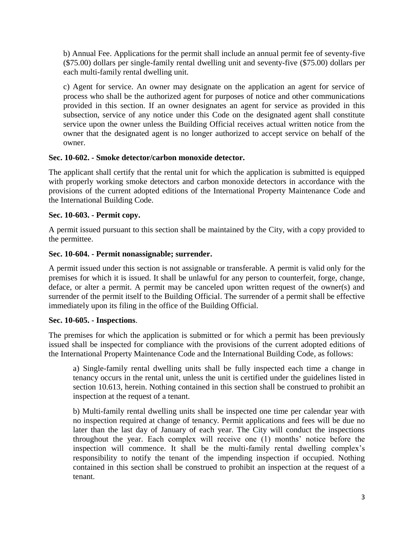b) Annual Fee. Applications for the permit shall include an annual permit fee of seventy-five (\$75.00) dollars per single-family rental dwelling unit and seventy-five (\$75.00) dollars per each multi-family rental dwelling unit.

c) Agent for service. An owner may designate on the application an agent for service of process who shall be the authorized agent for purposes of notice and other communications provided in this section. If an owner designates an agent for service as provided in this subsection, service of any notice under this Code on the designated agent shall constitute service upon the owner unless the Building Official receives actual written notice from the owner that the designated agent is no longer authorized to accept service on behalf of the owner.

# **Sec. 10-602. - Smoke detector/carbon monoxide detector.**

The applicant shall certify that the rental unit for which the application is submitted is equipped with properly working smoke detectors and carbon monoxide detectors in accordance with the provisions of the current adopted editions of the International Property Maintenance Code and the International Building Code.

# **Sec. 10-603. - Permit copy.**

A permit issued pursuant to this section shall be maintained by the City, with a copy provided to the permittee.

# **Sec. 10-604. - Permit nonassignable; surrender.**

A permit issued under this section is not assignable or transferable. A permit is valid only for the premises for which it is issued. It shall be unlawful for any person to counterfeit, forge, change, deface, or alter a permit. A permit may be canceled upon written request of the owner(s) and surrender of the permit itself to the Building Official. The surrender of a permit shall be effective immediately upon its filing in the office of the Building Official.

### **Sec. 10-605. - Inspections**.

The premises for which the application is submitted or for which a permit has been previously issued shall be inspected for compliance with the provisions of the current adopted editions of the International Property Maintenance Code and the International Building Code, as follows:

a) Single-family rental dwelling units shall be fully inspected each time a change in tenancy occurs in the rental unit, unless the unit is certified under the guidelines listed in section 10.613, herein. Nothing contained in this section shall be construed to prohibit an inspection at the request of a tenant.

b) Multi-family rental dwelling units shall be inspected one time per calendar year with no inspection required at change of tenancy. Permit applications and fees will be due no later than the last day of January of each year. The City will conduct the inspections throughout the year. Each complex will receive one (1) months' notice before the inspection will commence. It shall be the multi-family rental dwelling complex's responsibility to notify the tenant of the impending inspection if occupied. Nothing contained in this section shall be construed to prohibit an inspection at the request of a tenant.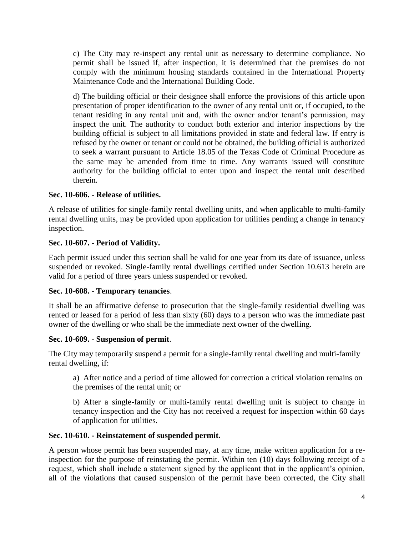c) The City may re-inspect any rental unit as necessary to determine compliance. No permit shall be issued if, after inspection, it is determined that the premises do not comply with the minimum housing standards contained in the International Property Maintenance Code and the International Building Code.

d) The building official or their designee shall enforce the provisions of this article upon presentation of proper identification to the owner of any rental unit or, if occupied, to the tenant residing in any rental unit and, with the owner and/or tenant's permission, may inspect the unit. The authority to conduct both exterior and interior inspections by the building official is subject to all limitations provided in state and federal law. If entry is refused by the owner or tenant or could not be obtained, the building official is authorized to seek a warrant pursuant to Article 18.05 of the Texas Code of Criminal Procedure as the same may be amended from time to time. Any warrants issued will constitute authority for the building official to enter upon and inspect the rental unit described therein.

# **Sec. 10-606. - Release of utilities.**

A release of utilities for single-family rental dwelling units, and when applicable to multi-family rental dwelling units, may be provided upon application for utilities pending a change in tenancy inspection.

# **Sec. 10-607. - Period of Validity.**

Each permit issued under this section shall be valid for one year from its date of issuance, unless suspended or revoked. Single-family rental dwellings certified under Section 10.613 herein are valid for a period of three years unless suspended or revoked.

### **Sec. 10-608. - Temporary tenancies**.

It shall be an affirmative defense to prosecution that the single-family residential dwelling was rented or leased for a period of less than sixty (60) days to a person who was the immediate past owner of the dwelling or who shall be the immediate next owner of the dwelling.

### **Sec. 10-609. - Suspension of permit**.

The City may temporarily suspend a permit for a single-family rental dwelling and multi-family rental dwelling, if:

a) After notice and a period of time allowed for correction a critical violation remains on the premises of the rental unit; or

b) After a single-family or multi-family rental dwelling unit is subject to change in tenancy inspection and the City has not received a request for inspection within 60 days of application for utilities.

### **Sec. 10-610. - Reinstatement of suspended permit.**

A person whose permit has been suspended may, at any time, make written application for a reinspection for the purpose of reinstating the permit. Within ten (10) days following receipt of a request, which shall include a statement signed by the applicant that in the applicant's opinion, all of the violations that caused suspension of the permit have been corrected, the City shall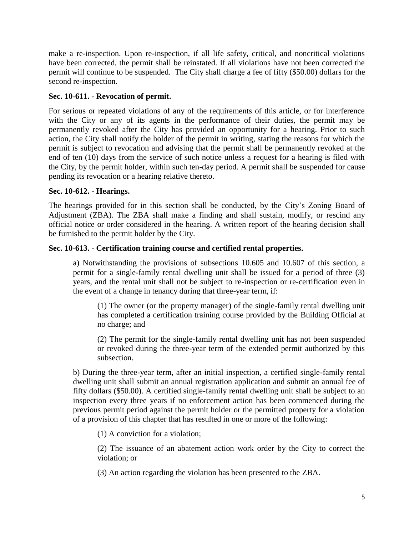make a re-inspection. Upon re-inspection, if all life safety, critical, and noncritical violations have been corrected, the permit shall be reinstated. If all violations have not been corrected the permit will continue to be suspended. The City shall charge a fee of fifty (\$50.00) dollars for the second re-inspection.

# **Sec. 10-611. - Revocation of permit.**

For serious or repeated violations of any of the requirements of this article, or for interference with the City or any of its agents in the performance of their duties, the permit may be permanently revoked after the City has provided an opportunity for a hearing. Prior to such action, the City shall notify the holder of the permit in writing, stating the reasons for which the permit is subject to revocation and advising that the permit shall be permanently revoked at the end of ten (10) days from the service of such notice unless a request for a hearing is filed with the City, by the permit holder, within such ten-day period. A permit shall be suspended for cause pending its revocation or a hearing relative thereto.

# **Sec. 10-612. - Hearings.**

The hearings provided for in this section shall be conducted, by the City's Zoning Board of Adjustment (ZBA). The ZBA shall make a finding and shall sustain, modify, or rescind any official notice or order considered in the hearing. A written report of the hearing decision shall be furnished to the permit holder by the City.

# **Sec. 10-613. - Certification training course and certified rental properties.**

a) Notwithstanding the provisions of subsections 10.605 and 10.607 of this section, a permit for a single-family rental dwelling unit shall be issued for a period of three (3) years, and the rental unit shall not be subject to re-inspection or re-certification even in the event of a change in tenancy during that three-year term, if:

(1) The owner (or the property manager) of the single-family rental dwelling unit has completed a certification training course provided by the Building Official at no charge; and

(2) The permit for the single-family rental dwelling unit has not been suspended or revoked during the three-year term of the extended permit authorized by this subsection.

b) During the three-year term, after an initial inspection, a certified single-family rental dwelling unit shall submit an annual registration application and submit an annual fee of fifty dollars (\$50.00). A certified single-family rental dwelling unit shall be subject to an inspection every three years if no enforcement action has been commenced during the previous permit period against the permit holder or the permitted property for a violation of a provision of this chapter that has resulted in one or more of the following:

(1) A conviction for a violation;

(2) The issuance of an abatement action work order by the City to correct the violation; or

(3) An action regarding the violation has been presented to the ZBA.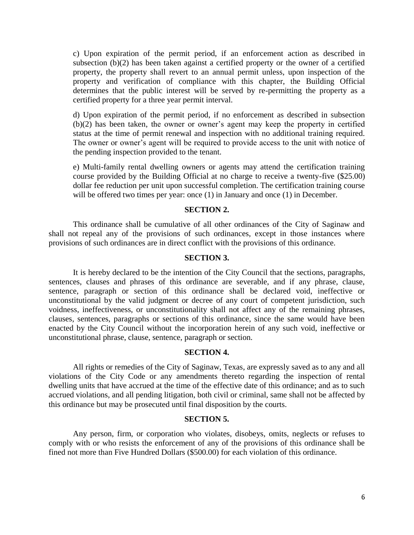c) Upon expiration of the permit period, if an enforcement action as described in subsection (b)(2) has been taken against a certified property or the owner of a certified property, the property shall revert to an annual permit unless, upon inspection of the property and verification of compliance with this chapter, the Building Official determines that the public interest will be served by re-permitting the property as a certified property for a three year permit interval.

d) Upon expiration of the permit period, if no enforcement as described in subsection (b)(2) has been taken, the owner or owner's agent may keep the property in certified status at the time of permit renewal and inspection with no additional training required. The owner or owner's agent will be required to provide access to the unit with notice of the pending inspection provided to the tenant.

e) Multi-family rental dwelling owners or agents may attend the certification training course provided by the Building Official at no charge to receive a twenty-five (\$25.00) dollar fee reduction per unit upon successful completion. The certification training course will be offered two times per year: once (1) in January and once (1) in December.

#### **SECTION 2.**

This ordinance shall be cumulative of all other ordinances of the City of Saginaw and shall not repeal any of the provisions of such ordinances, except in those instances where provisions of such ordinances are in direct conflict with the provisions of this ordinance.

#### **SECTION 3.**

It is hereby declared to be the intention of the City Council that the sections, paragraphs, sentences, clauses and phrases of this ordinance are severable, and if any phrase, clause, sentence, paragraph or section of this ordinance shall be declared void, ineffective or unconstitutional by the valid judgment or decree of any court of competent jurisdiction, such voidness, ineffectiveness, or unconstitutionality shall not affect any of the remaining phrases, clauses, sentences, paragraphs or sections of this ordinance, since the same would have been enacted by the City Council without the incorporation herein of any such void, ineffective or unconstitutional phrase, clause, sentence, paragraph or section.

#### **SECTION 4.**

All rights or remedies of the City of Saginaw, Texas, are expressly saved as to any and all violations of the City Code or any amendments thereto regarding the inspection of rental dwelling units that have accrued at the time of the effective date of this ordinance; and as to such accrued violations, and all pending litigation, both civil or criminal, same shall not be affected by this ordinance but may be prosecuted until final disposition by the courts.

#### **SECTION 5.**

Any person, firm, or corporation who violates, disobeys, omits, neglects or refuses to comply with or who resists the enforcement of any of the provisions of this ordinance shall be fined not more than Five Hundred Dollars (\$500.00) for each violation of this ordinance.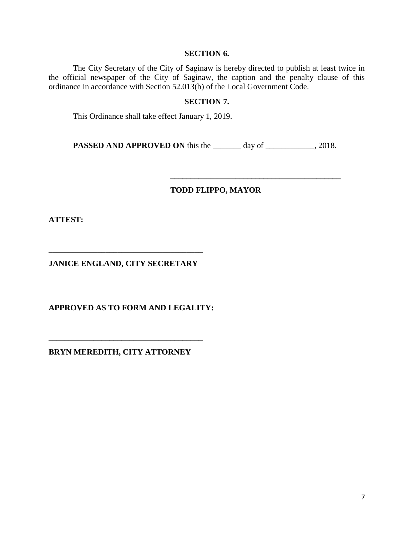#### **SECTION 6.**

The City Secretary of the City of Saginaw is hereby directed to publish at least twice in the official newspaper of the City of Saginaw, the caption and the penalty clause of this ordinance in accordance with Section 52.013(b) of the Local Government Code.

# **SECTION 7.**

This Ordinance shall take effect January 1, 2019.

PASSED AND APPROVED ON this the \_\_\_\_\_\_ day of \_\_\_\_\_\_\_\_\_, 2018.

# **TODD FLIPPO, MAYOR**

**\_\_\_\_\_\_\_\_\_\_\_\_\_\_\_\_\_\_\_\_\_\_\_\_\_\_\_\_\_\_\_\_\_\_\_\_\_\_\_\_\_\_**

**ATTEST:** 

**JANICE ENGLAND, CITY SECRETARY** 

**\_\_\_\_\_\_\_\_\_\_\_\_\_\_\_\_\_\_\_\_\_\_\_\_\_\_\_\_\_\_\_\_\_\_\_\_\_\_**

**APPROVED AS TO FORM AND LEGALITY:** 

**BRYN MEREDITH, CITY ATTORNEY** 

**\_\_\_\_\_\_\_\_\_\_\_\_\_\_\_\_\_\_\_\_\_\_\_\_\_\_\_\_\_\_\_\_\_\_\_\_\_\_**